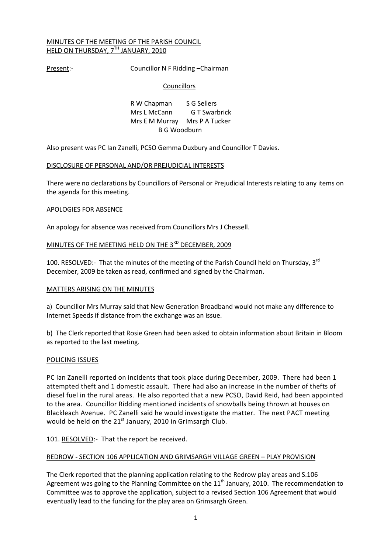## MINUTES OF THE MEETING OF THE PARISH COUNCIL HELD ON THURSDAY, 7TH JANUARY, 2010

Present:- Councillor N F Ridding - Chairman

## **Councillors**

R W Chapman S G Sellers Mrs L McCann G T Swarbrick Mrs E M Murray Mrs P A Tucker B G Woodburn

Also present was PC Ian Zanelli, PCSO Gemma Duxbury and Councillor T Davies.

## DISCLOSURE OF PERSONAL AND/OR PREJUDICIAL INTERESTS

There were no declarations by Councillors of Personal or Prejudicial Interests relating to any items on the agenda for this meeting.

## APOLOGIES FOR ABSENCE

An apology for absence was received from Councillors Mrs J Chessell.

# MINUTES OF THE MEETING HELD ON THE 3<sup>RD</sup> DECEMBER, 2009

100. RESOLVED:- That the minutes of the meeting of the Parish Council held on Thursday, 3<sup>rd</sup> December, 2009 be taken as read, confirmed and signed by the Chairman.

## MATTERS ARISING ON THE MINUTES

a) Councillor Mrs Murray said that New Generation Broadband would not make any difference to Internet Speeds if distance from the exchange was an issue.

b) The Clerk reported that Rosie Green had been asked to obtain information about Britain in Bloom as reported to the last meeting.

## POLICING ISSUES

PC Ian Zanelli reported on incidents that took place during December, 2009. There had been 1 attempted theft and 1 domestic assault. There had also an increase in the number of thefts of diesel fuel in the rural areas. He also reported that a new PCSO, David Reid, had been appointed to the area. Councillor Ridding mentioned incidents of snowballs being thrown at houses on Blackleach Avenue. PC Zanelli said he would investigate the matter. The next PACT meeting would be held on the  $21<sup>st</sup>$  January, 2010 in Grimsargh Club.

# 101. RESOLVED:- That the report be received.

## REDROW - SECTION 106 APPLICATION AND GRIMSARGH VILLAGE GREEN – PLAY PROVISION

The Clerk reported that the planning application relating to the Redrow play areas and S.106 Agreement was going to the Planning Committee on the  $11<sup>th</sup>$  January, 2010. The recommendation to Committee was to approve the application, subject to a revised Section 106 Agreement that would eventually lead to the funding for the play area on Grimsargh Green.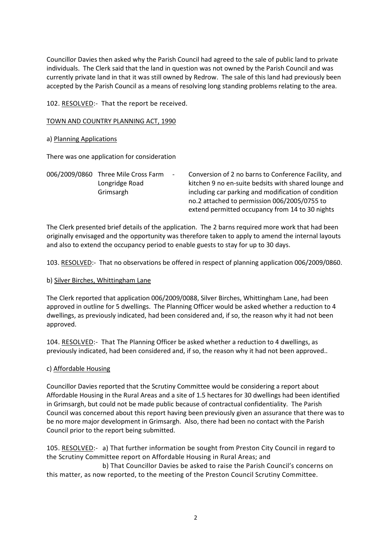Councillor Davies then asked why the Parish Council had agreed to the sale of public land to private individuals. The Clerk said that the land in question was not owned by the Parish Council and was currently private land in that it was still owned by Redrow. The sale of this land had previously been accepted by the Parish Council as a means of resolving long standing problems relating to the area.

102. RESOLVED:- That the report be received.

TOWN AND COUNTRY PLANNING ACT, 1990

## a) Planning Applications

There was one application for consideration

006/2009/0860 Three Mile Cross Farm - Conversion of 2 no barns to Conference Facility, and Longridge Road kitchen 9 no en-suite bedsits with shared lounge and Grimsargh including car parking and modification of condition no.2 attached to permission 006/2005/0755 to extend permitted occupancy from 14 to 30 nights

The Clerk presented brief details of the application. The 2 barns required more work that had been originally envisaged and the opportunity was therefore taken to apply to amend the internal layouts and also to extend the occupancy period to enable guests to stay for up to 30 days.

103. RESOLVED:- That no observations be offered in respect of planning application 006/2009/0860.

## b) Silver Birches, Whittingham Lane

The Clerk reported that application 006/2009/0088, Silver Birches, Whittingham Lane, had been approved in outline for 5 dwellings. The Planning Officer would be asked whether a reduction to 4 dwellings, as previously indicated, had been considered and, if so, the reason why it had not been approved.

104. RESOLVED:- That The Planning Officer be asked whether a reduction to 4 dwellings, as previously indicated, had been considered and, if so, the reason why it had not been approved..

## c) Affordable Housing

Councillor Davies reported that the Scrutiny Committee would be considering a report about Affordable Housing in the Rural Areas and a site of 1.5 hectares for 30 dwellings had been identified in Grimsargh, but could not be made public because of contractual confidentiality. The Parish Council was concerned about this report having been previously given an assurance that there was to be no more major development in Grimsargh. Also, there had been no contact with the Parish Council prior to the report being submitted.

105. RESOLVED:- a) That further information be sought from Preston City Council in regard to the Scrutiny Committee report on Affordable Housing in Rural Areas; and

 b) That Councillor Davies be asked to raise the Parish Council's concerns on this matter, as now reported, to the meeting of the Preston Council Scrutiny Committee.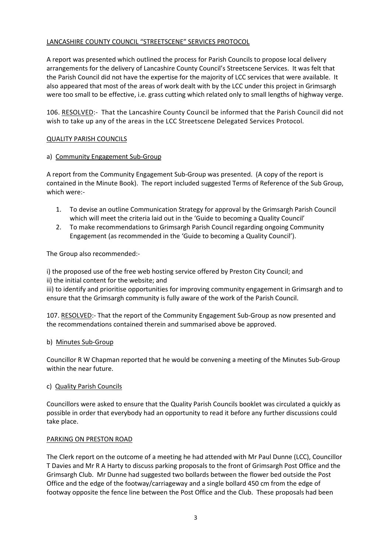# LANCASHIRE COUNTY COUNCIL "STREETSCENE" SERVICES PROTOCOL

A report was presented which outlined the process for Parish Councils to propose local delivery arrangements for the delivery of Lancashire County Council's Streetscene Services. It was felt that the Parish Council did not have the expertise for the majority of LCC services that were available. It also appeared that most of the areas of work dealt with by the LCC under this project in Grimsargh were too small to be effective, i.e. grass cutting which related only to small lengths of highway verge.

106. RESOLVED:- That the Lancashire County Council be informed that the Parish Council did not wish to take up any of the areas in the LCC Streetscene Delegated Services Protocol.

# QUALITY PARISH COUNCILS

# a) Community Engagement Sub-Group

A report from the Community Engagement Sub-Group was presented. (A copy of the report is contained in the Minute Book). The report included suggested Terms of Reference of the Sub Group, which were:-

- 1. To devise an outline Communication Strategy for approval by the Grimsargh Parish Council which will meet the criteria laid out in the 'Guide to becoming a Quality Council'
- 2. To make recommendations to Grimsargh Parish Council regarding ongoing Community Engagement (as recommended in the 'Guide to becoming a Quality Council').

The Group also recommended:-

i) the proposed use of the free web hosting service offered by Preston City Council; and ii) the initial content for the website; and

iii) to identify and prioritise opportunities for improving community engagement in Grimsargh and to ensure that the Grimsargh community is fully aware of the work of the Parish Council.

107. RESOLVED:- That the report of the Community Engagement Sub-Group as now presented and the recommendations contained therein and summarised above be approved.

# b) Minutes Sub-Group

Councillor R W Chapman reported that he would be convening a meeting of the Minutes Sub-Group within the near future.

# c) Quality Parish Councils

Councillors were asked to ensure that the Quality Parish Councils booklet was circulated a quickly as possible in order that everybody had an opportunity to read it before any further discussions could take place.

## PARKING ON PRESTON ROAD

The Clerk report on the outcome of a meeting he had attended with Mr Paul Dunne (LCC), Councillor T Davies and Mr R A Harty to discuss parking proposals to the front of Grimsargh Post Office and the Grimsargh Club. Mr Dunne had suggested two bollards between the flower bed outside the Post Office and the edge of the footway/carriageway and a single bollard 450 cm from the edge of footway opposite the fence line between the Post Office and the Club. These proposals had been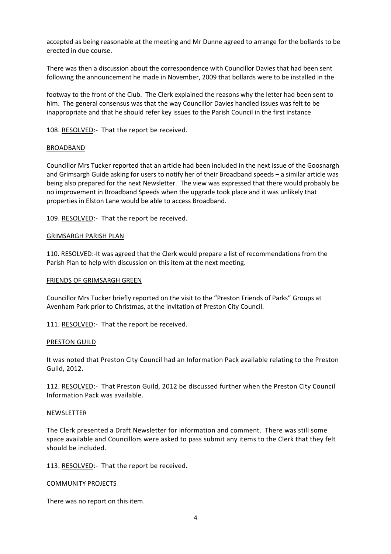accepted as being reasonable at the meeting and Mr Dunne agreed to arrange for the bollards to be erected in due course.

There was then a discussion about the correspondence with Councillor Davies that had been sent following the announcement he made in November, 2009 that bollards were to be installed in the

footway to the front of the Club. The Clerk explained the reasons why the letter had been sent to him. The general consensus was that the way Councillor Davies handled issues was felt to be inappropriate and that he should refer key issues to the Parish Council in the first instance

108. RESOLVED:- That the report be received.

#### BROADBAND

Councillor Mrs Tucker reported that an article had been included in the next issue of the Goosnargh and Grimsargh Guide asking for users to notify her of their Broadband speeds – a similar article was being also prepared for the next Newsletter. The view was expressed that there would probably be no improvement in Broadband Speeds when the upgrade took place and it was unlikely that properties in Elston Lane would be able to access Broadband.

109. RESOLVED:- That the report be received.

#### GRIMSARGH PARISH PLAN

110. RESOLVED:-It was agreed that the Clerk would prepare a list of recommendations from the Parish Plan to help with discussion on this item at the next meeting.

#### FRIENDS OF GRIMSARGH GREEN

Councillor Mrs Tucker briefly reported on the visit to the "Preston Friends of Parks" Groups at Avenham Park prior to Christmas, at the invitation of Preston City Council.

111. RESOLVED:- That the report be received.

#### PRESTON GUILD

It was noted that Preston City Council had an Information Pack available relating to the Preston Guild, 2012.

112. RESOLVED:- That Preston Guild, 2012 be discussed further when the Preston City Council Information Pack was available.

#### **NEWSLETTER**

The Clerk presented a Draft Newsletter for information and comment. There was still some space available and Councillors were asked to pass submit any items to the Clerk that they felt should be included.

113. RESOLVED:- That the report be received.

#### COMMUNITY PROJECTS

There was no report on this item.